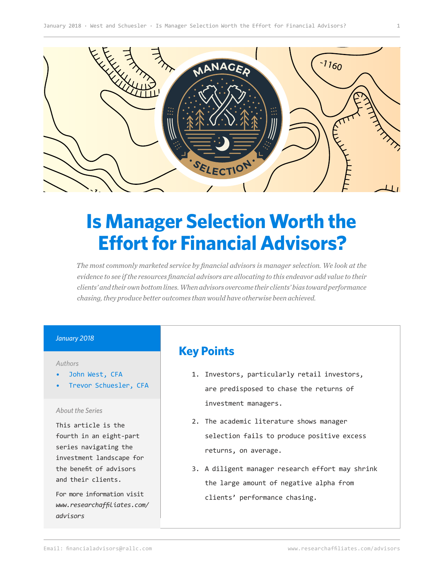

# **Is Manager Selection Worth the Effort for Financial Advisors?**

*The most commonly marketed service by financial advisors is manager selection. We look at the evidence to see if the resources financial advisors are allocating to this endeavor add value to their clients' and their own bottom lines. When advisors overcome their clients' bias toward performance chasing, they produce better outcomes than would have otherwise been achieved.* 

#### *January 2018*

#### *Authors*

- John West, CFA
- Trevor Schuesler, CFA

#### *About the Series*

This article is the fourth in an eight-part series navigating the investment landscape for the benefit of advisors and their clients.

For more information visit *[www.researchaffiliates.com/](http://www.researchaffiliates.com/en_us/advisors.html
) [advisors](http://www.researchaffiliates.com/en_us/advisors.html
)*

## **Key Points**

- 1. Investors, particularly retail investors, are predisposed to chase the returns of investment managers.
- 2. The academic literature shows manager selection fails to produce positive excess returns, on average.
- 3. A diligent manager research effort may shrink the large amount of negative alpha from clients' performance chasing.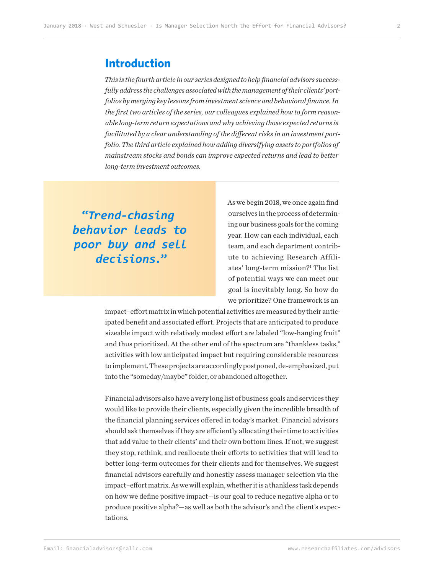### **Introduction**

*This is the fourth article in our series designed to help financial advisors successfully address the challenges associated with the management of their clients' portfolios by merging key lessons from investment science and behavioral finance. In the first two articles of the series, our colleagues explained how to form reasonable long-term return expectations and why achieving those expected returns is facilitated by a clear understanding of the different risks in an investment portfolio. The third article explained how adding diversifying assets to portfolios of mainstream stocks and bonds can improve expected returns and lead to better long-term investment outcomes.*

**"***Trend-chasing behavior leads to poor buy and sell decisions.***"**

As we begin 2018, we once again find ourselves in the process of determining our business goals for the coming year. How can each individual, each team, and each department contribute to achieving Research Affiliates' long-term mission?<sup>1</sup> The list of potential ways we can meet our goal is inevitably long. So how do we prioritize? One framework is an

impact–effort matrix in which potential activities are measured by their anticipated benefit and associated effort. Projects that are anticipated to produce sizeable impact with relatively modest effort are labeled "low-hanging fruit" and thus prioritized. At the other end of the spectrum are "thankless tasks," activities with low anticipated impact but requiring considerable resources to implement. These projects are accordingly postponed, de-emphasized, put into the "someday/maybe" folder, or abandoned altogether.

Financial advisors also have a very long list of business goals and services they would like to provide their clients, especially given the incredible breadth of the financial planning services offered in today's market. Financial advisors should ask themselves if they are efficiently allocating their time to activities that add value to their clients' and their own bottom lines. If not, we suggest they stop, rethink, and reallocate their efforts to activities that will lead to better long-term outcomes for their clients and for themselves. We suggest financial advisors carefully and honestly assess manager selection via the impact–effort matrix. As we will explain, whether it is a thankless task depends on how we define positive impact—is our goal to reduce negative alpha or to produce positive alpha?—as well as both the advisor's and the client's expectations.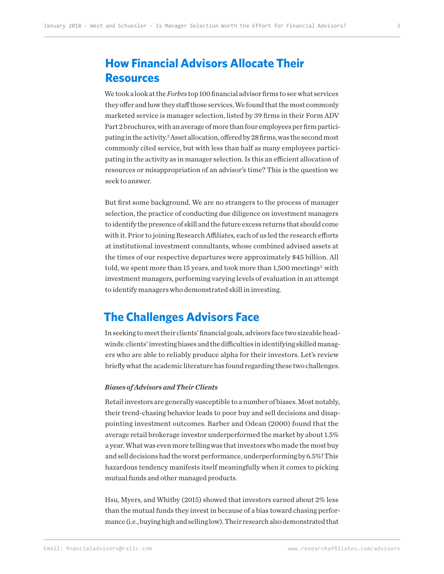# **How Financial Advisors Allocate Their Resources**

We took a look at the *Forbes* top 100 financial advisor firms to see what services they offer and how they staff those services. We found that the most commonly marketed service is manager selection, listed by 39 firms in their Form ADV Part 2 brochures, with an average of more than four employees per firm participating in the activity.<sup>2</sup> Asset allocation, offered by 28 firms, was the second most commonly cited service, but with less than half as many employees participating in the activity as in manager selection. Is this an efficient allocation of resources or misappropriation of an advisor's time? This is the question we seek to answer.

But first some background. We are no strangers to the process of manager selection, the practice of conducting due diligence on investment managers to identify the presence of skill and the future excess returns that should come with it. Prior to joining Research Affiliates, each of us led the research efforts at institutional investment consultants, whose combined advised assets at the times of our respective departures were approximately \$45 billion. All told, we spent more than 15 years, and took more than  $1,500$  meetings<sup>3</sup> with investment managers, performing varying levels of evaluation in an attempt to identify managers who demonstrated skill in investing.

### **The Challenges Advisors Face**

In seeking to meet their clients' financial goals, advisors face two sizeable headwinds: clients' investing biases and the difficulties in identifying skilled managers who are able to reliably produce alpha for their investors. Let's review briefly what the academic literature has found regarding these two challenges.

#### *Biases of Advisors and Their Clients*

Retail investors are generally susceptible to a number of biases. Most notably, their trend-chasing behavior leads to poor buy and sell decisions and disappointing investment outcomes. Barber and Odean (2000) found that the average retail brokerage investor underperformed the market by about 1.5% a year. What was even more telling was that investors who made the most buy and sell decisions had the worst performance, underperforming by 6.5%! This hazardous tendency manifests itself meaningfully when it comes to picking mutual funds and other managed products.

Hsu, Myers, and Whitby (2015) showed that investors earned about 2% less than the mutual funds they invest in because of a bias toward chasing performance (i.e., buying high and selling low). Their research also demonstrated that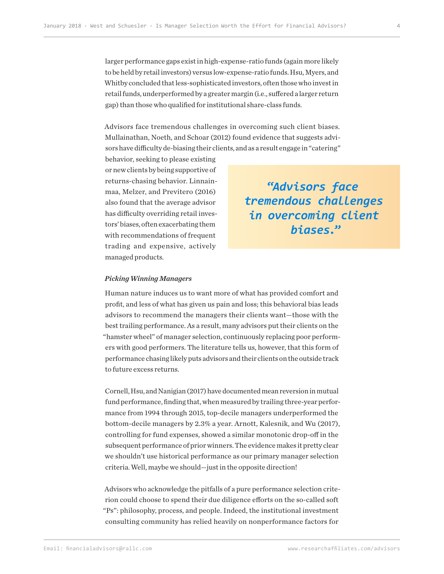larger performance gaps exist in high-expense-ratio funds (again more likely to be held by retail investors) versus low-expense-ratio funds. Hsu, Myers, and Whitby concluded that less-sophisticated investors, often those who invest in retail funds, underperformed by a greater margin (i.e., suffered a larger return gap) than those who qualified for institutional share-class funds.

Advisors face tremendous challenges in overcoming such client biases. Mullainathan, Noeth, and Schoar (2012) found evidence that suggests advisors have difficulty de-biasing their clients, and as a result engage in "catering"

behavior, seeking to please existing or new clients by being supportive of returns-chasing behavior. Linnainmaa, Melzer, and Previtero (2016) also found that the average advisor has difficulty overriding retail investors' biases, often exacerbating them with recommendations of frequent trading and expensive, actively managed products.

**"***Advisors face tremendous challenges in overcoming client biases.***"**

#### *Picking Winning Managers*

Human nature induces us to want more of what has provided comfort and profit, and less of what has given us pain and loss; this behavioral bias leads advisors to recommend the managers their clients want—those with the best trailing performance. As a result, many advisors put their clients on the "hamster wheel" of manager selection, continuously replacing poor performers with good performers. The literature tells us, however, that this form of performance chasing likely puts advisors and their clients on the outside track to future excess returns.

Cornell, Hsu, and Nanigian (2017) have documented mean reversion in mutual fund performance, finding that, when measured by trailing three-year performance from 1994 through 2015, top-decile managers underperformed the bottom-decile managers by 2.3% a year. Arnott, Kalesnik, and Wu (2017), controlling for fund expenses, showed a similar monotonic drop-off in the subsequent performance of prior winners. The evidence makes it pretty clear we shouldn't use historical performance as our primary manager selection criteria. Well, maybe we should—just in the opposite direction!

Advisors who acknowledge the pitfalls of a pure performance selection criterion could choose to spend their due diligence efforts on the so-called soft "Ps": philosophy, process, and people. Indeed, the institutional investment consulting community has relied heavily on nonperformance factors for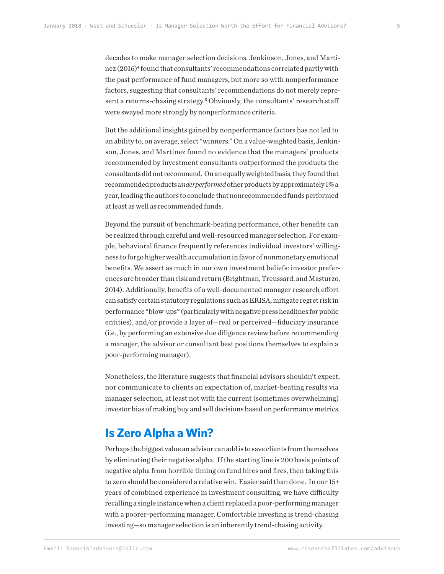decades to make manager selection decisions. Jenkinson, Jones, and Martinez (2016)<sup>4</sup> found that consultants' recommendations correlated partly with the past performance of fund managers, but more so with nonperformance factors, suggesting that consultants' recommendations do not merely represent a returns-chasing strategy.<sup>5</sup> Obviously, the consultants' research staff were swayed more strongly by nonperformance criteria.

But the additional insights gained by nonperformance factors has not led to an ability to, on average, select "winners." On a value-weighted basis, Jenkinson, Jones, and Martinez found no evidence that the managers' products recommended by investment consultants outperformed the products the consultants did not recommend. On an equally weighted basis, they found that recommended products *underperformed* other products by approximately 1% a year, leading the authors to conclude that nonrecommended funds performed at least as well as recommended funds.

Beyond the pursuit of benchmark-beating performance, other benefits can be realized through careful and well-resourced manager selection. For example, behavioral finance frequently references individual investors' willingness to forgo higher wealth accumulation in favor of nonmonetary emotional benefits. We assert as much in our own investment beliefs: investor preferences are broader than risk and return (Brightman, Treussard, and Masturzo, 2014). Additionally, benefits of a well-documented manager research effort can satisfy certain statutory regulations such as ERISA, mitigate regret risk in performance "blow-ups" (particularly with negative press headlines for public entities), and/or provide a layer of—real or perceived—fiduciary insurance (i.e., by performing an extensive due diligence review before recommending a manager, the advisor or consultant best positions themselves to explain a poor-performing manager).

Nonetheless, the literature suggests that financial advisors shouldn't expect, nor communicate to clients an expectation of, market-beating results via manager selection, at least not with the current (sometimes overwhelming) investor bias of making buy and sell decisions based on performance metrics.

## **Is Zero Alpha a Win?**

Perhaps the biggest value an advisor can add is to save clients from themselves by eliminating their negative alpha. If the starting line is 200 basis points of negative alpha from horrible timing on fund hires and fires, then taking this to zero should be considered a relative win. Easier said than done. In our 15+ years of combined experience in investment consulting, we have difficulty recalling a single instance when a client replaced a poor-performing manager with a poorer-performing manager. Comfortable investing is trend-chasing investing—so manager selection is an inherently trend-chasing activity.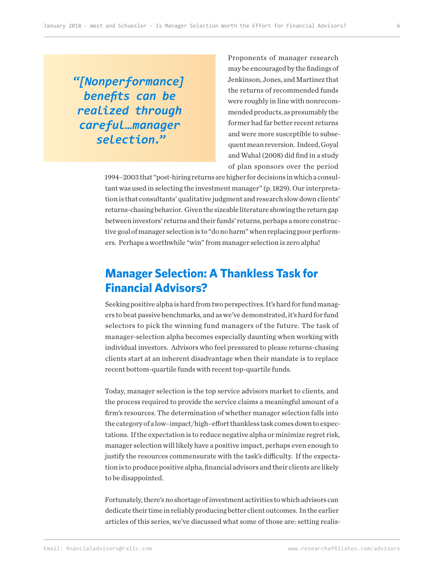**"***[Nonperformance] benefits can be realized through careful…manager selection.***"**

Proponents of manager research may be encouraged by the findings of Jenkinson, Jones, and Martinez that the returns of recommended funds were roughly in line with nonrecommended products, as presumably the former had far better recent returns and were more susceptible to subsequent mean reversion. Indeed, Goyal and Wahal (2008) did find in a study of plan sponsors over the period

1994–2003 that "post-hiring returns are higher for decisions in which a consultant was used in selecting the investment manager" (p. 1829). Our interpretation is that consultants' qualitative judgment and research slow down clients' returns-chasing behavior. Given the sizeable literature showing the return gap between investors' returns and their funds' returns, perhaps a more constructive goal of manager selection is to "do no harm" when replacing poor performers. Perhaps a worthwhile "win" from manager selection is zero alpha!

# **Manager Selection: A Thankless Task for Financial Advisors?**

Seeking positive alpha is hard from two perspectives. It's hard for fund managers to beat passive benchmarks, and as we've demonstrated, it's hard for fund selectors to pick the winning fund managers of the future. The task of manager-selection alpha becomes especially daunting when working with individual investors. Advisors who feel pressured to please returns-chasing clients start at an inherent disadvantage when their mandate is to replace recent bottom-quartile funds with recent top-quartile funds.

Today, manager selection is the top service advisors market to clients, and the process required to provide the service claims a meaningful amount of a firm's resources. The determination of whether manager selection falls into the category of a low–impact/high–effort thankless task comes down to expectations. If the expectation is to reduce negative alpha or minimize regret risk, manager selection will likely have a positive impact, perhaps even enough to justify the resources commensurate with the task's difficulty. If the expectation is to produce positive alpha, financial advisors and their clients are likely to be disappointed.

Fortunately, there's no shortage of investment activities to which advisors can dedicate their time in reliably producing better client outcomes. In the earlier articles of this series, we've discussed what some of those are: setting realis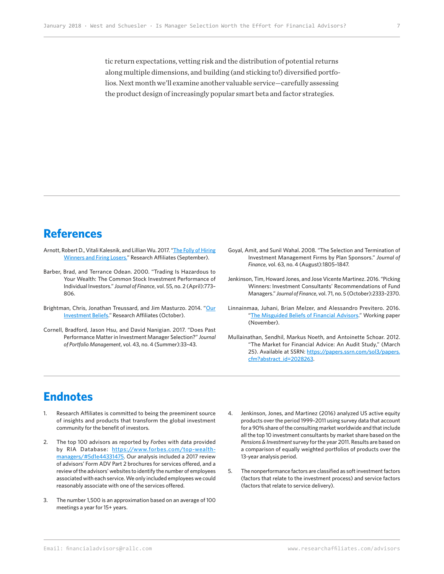tic return expectations, vetting risk and the distribution of potential returns along multiple dimensions, and building (and sticking to!) diversified portfolios. Next month we'll examine another valuable service—carefully assessing the product design of increasingly popular smart beta and factor strategies.

### **References**

- Arnott, Robert D., Vitali Kalesnik, and Lillian Wu. 2017. "[The Folly of Hiring](https://www.researchaffiliates.com/en_us/publications/articles/630-the-folly-of-hiring-winners-and-firing-losers.html)  [Winners and Firing Losers.](https://www.researchaffiliates.com/en_us/publications/articles/630-the-folly-of-hiring-winners-and-firing-losers.html)" Research Affiliates (September).
- Barber, Brad, and Terrance Odean. 2000. "Trading Is Hazardous to Your Wealth: The Common Stock Investment Performance of Individual Investors." *Journal of Finance*, vol. 55, no. 2 (April):773– 806.
- Brightman, Chris, Jonathan Treussard, and Jim Masturzo. 2014. "Our [Investment Beliefs](https://www.researchaffiliates.com/en_us/publications/articles/316_our_investment_beliefs.html)." Research Affiliates (October).
- Cornell, Bradford, Jason Hsu, and David Nanigian. 2017. "Does Past Performance Matter in Investment Manager Selection?" *Journal of Portfolio Management*, vol. 43, no. 4 (Summer):33–43.
- Goyal, Amit, and Sunil Wahal. 2008. "The Selection and Termination of Investment Management Firms by Plan Sponsors." *Journal of Finance*, vol. 63, no. 4 (August):1805–1847.
- Jenkinson, Tim, Howard Jones, and Jose Vicente Martinez. 2016. "Picking Winners: Investment Consultants' Recommendations of Fund Managers." *Journal of Finance*, vol. 71, no. 5 (October):2333–2370.
- Linnainmaa, Juhani, Brian Melzer, and Alessandro Previtero. 2016. "[The Misguided Beliefs of Financial Advisors](https://faculty.kellogg.northwestern.edu/models/faculty/m_download_document.php?id=319)." Working paper (November).
- Mullainathan, Sendhil, Markus Noeth, and Antoinette Schoar. 2012. "The Market for Financial Advice: An Audit Study," (March 25). Available at SSRN: [https://papers.ssrn.com/sol3/papers.](https://papers.ssrn.com/sol3/papers.cfm?abstract_id=2028263) [cfm?abstract\\_id=2028263](https://papers.ssrn.com/sol3/papers.cfm?abstract_id=2028263).

# **Endnotes**

- 1. Research Affiliates is committed to being the preeminent source of insights and products that transform the global investment community for the benefit of investors.
- 2. The top 100 advisors as reported by *Forbes* with data provided by RIA Database: [https://www.forbes.com/top-wealth](https://www.forbes.com/top-wealth-managers/#5d1e44331475)[managers/#5d1e44331475.](https://www.forbes.com/top-wealth-managers/#5d1e44331475) Our analysis included a 2017 review of advisors' Form ADV Part 2 brochures for services offered, and a review of the advisors' websites to identify the number of employees associated with each service. We only included employees we could reasonably associate with one of the services offered.
- 3. The number 1,500 is an approximation based on an average of 100 meetings a year for 15+ years.
- 4. Jenkinson, Jones, and Martinez (2016) analyzed US active equity products over the period 1999–2011 using survey data that account for a 90% share of the consulting market worldwide and that include all the top 10 investment consultants by market share based on the *Pensions & Investment* survey for the year 2011. Results are based on a comparison of equally weighted portfolios of products over the 13-year analysis period.
- 5. The nonperformance factors are classified as soft investment factors (factors that relate to the investment process) and service factors (factors that relate to service delivery).